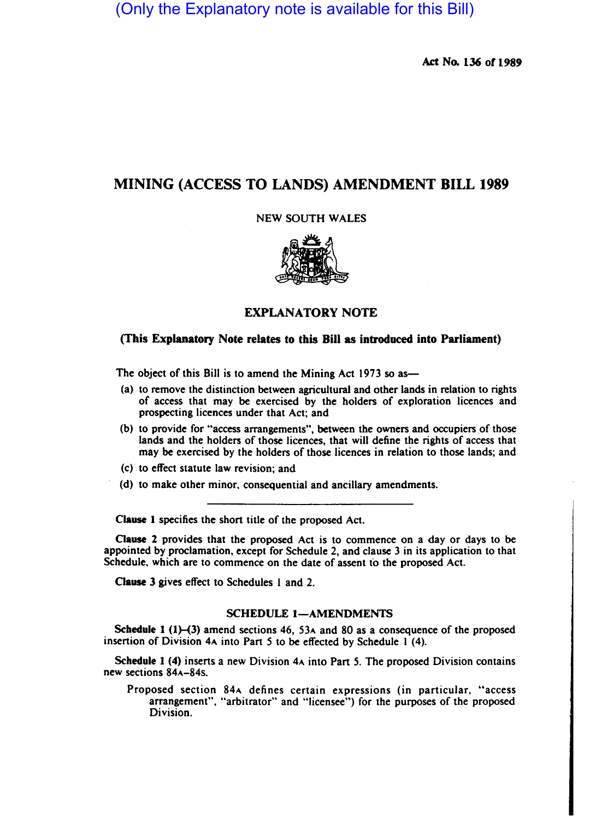(Only the Explanatory note is available for this Bill)

Act No. 136 of 1989

# MINING (ACCESS TO LANDS) AMENDMENT BILL 1989

NEW SOUTH WALES



# EXPLANATORY NOTE

## (This Explanatory Note relates to this Bill as introduced into Parliament)

The object of this Bill is to amend the Mining Act 1973 so as-

- (a) to remove the distinction between agricultural and other lands in relation to rights of access that may be exercised by the holders of exploration licences and prospecting licences under that Act; and
- (b) to provide for "access arrangements", between the owners and occupiers of those lands and the holders of those licences, that will define the rights of access that may be exercised by the holders of those licences in relation to those lands; and
- (c) to effect statute law revision; and
- (d) to make other minor, consequential and ancillary amendments.

Clause I specifies the short title of the proposed Act.

Clause 2 provides that the proposed Act is to commence on a day or days to be appointed by proclamation, except for Schedule 2, and clause 3 in its application to that Schedule, which are to commence on the date of assent to the proposed Act.

Clause 3 gives effect to Schedules 1 and 2.

#### SCHEDULE 1-AMENDMENTS

Schedule 1 (1)–(3) amend sections 46, 53 $\lambda$  and 80 as a consequence of the proposed insertion of Division 4A into Part 5 to be effected by Schedule 1 (4).

Schedule I (4) inserts a new Division 4A into Part 5. The proposed Division contains new sections 84A-84s.

Proposed section 84A defines certain expressions (in particular, "access arrangement", "arbitrator" and "licensee") for the purposes of the proposed Division.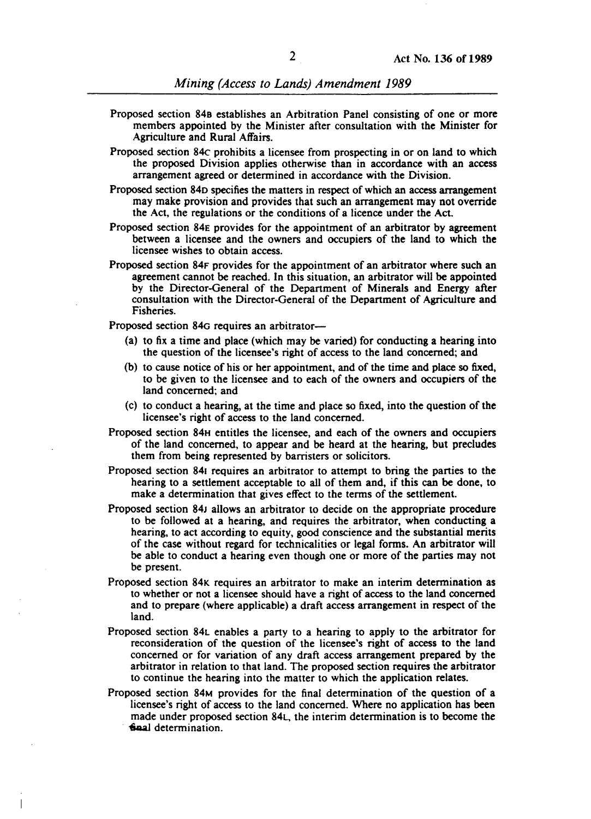- Proposed section 848 establishes an Arbitration Panel consisting of one or more members appointed by the Minister after consultation with the Minister for Agriculture and Rural Affairs.
- Proposed section 84c prohibits a licensee from prospecting in or on land to which the proposed Division applies otherwise than in accordance with an access arrangement agreed or determined in accordance with the Division.
- Proposed section 840 specifies the matters in respect of which an access arrangement may make provision and provides that such an arrangement may not override the Act, the regulations or the conditions of a licence under the Act.
- Proposed section 84E provides for the appointment of an arbitrator by agreement between a licensee and the owners and occupiers of the land to which the licensee wishes to obtain access.
- Proposed section 84F provides for the appointment of an arbitrator where such an agreement cannot be reached. In this situation, an arbitrator will be appointed by the Director-General of the Department of Minerals and Energy after consultation with the Director-General of the Department of Agriculture and Fisheries.

Proposed section 84G requires an arbitrator-

- (a) to fix a time and place (which may be varied) for conducting a hearing into the question of the licensee's right of access to the land concerned; and
- (b) to cause notice of his or her appointment, and of the time and place so fixed, to be given to the licensee and to each of the owners and occupiers of the land concerned; and
- (c) to conduct a hearing, at the time and place so fixed, into the question of the licensee's right of access to the land concerned.
- Proposed section 84H entitles the licensee, and each of the owners and occupiers of the land concerned, to appear and be heard at the hearing, but precludes them from being represented by barristers or solicitors.
- Proposed section 841 requires an arbitrator to attempt to bring the parties to the hearing to a settlement acceptable to all of them and, if this can be done, to make a determination that gives effect to the terms of the settlement.
- Proposed section 84J allows an arbitrator to decide on the appropriate procedure to be followed at a hearing, and requires the arbitrator, when conducting a hearing, to act according to equity, good conscience and the substantial merits of the case without regard for technicalities or legal forms. An arbitrator will be able to conduct a hearing even though one or more of the parties may not be present.
- Proposed section 84K requires an arbitrator to make an interim determination as to whether or not a licensee should have a right of access to the land concerned and to prepare (where applicable) a draft access arrangement in respect of the land.
- Proposed section 84l enables a party to a hearing to apply to the arbitrator for reconsideration of the question of the licensee's right of access to the land concerned or for variation of any draft access arrangement prepared by the arbitrator in relation to that land. The proposed section requires the arbitrator to continue the hearing into the matter to which the application relates.
- Proposed section 84M provides for the final determination of the question of a licensee's right of access to the land concerned. Where no application has been made under proposed section 84l, the interim determination is to become the -6aaJ determination.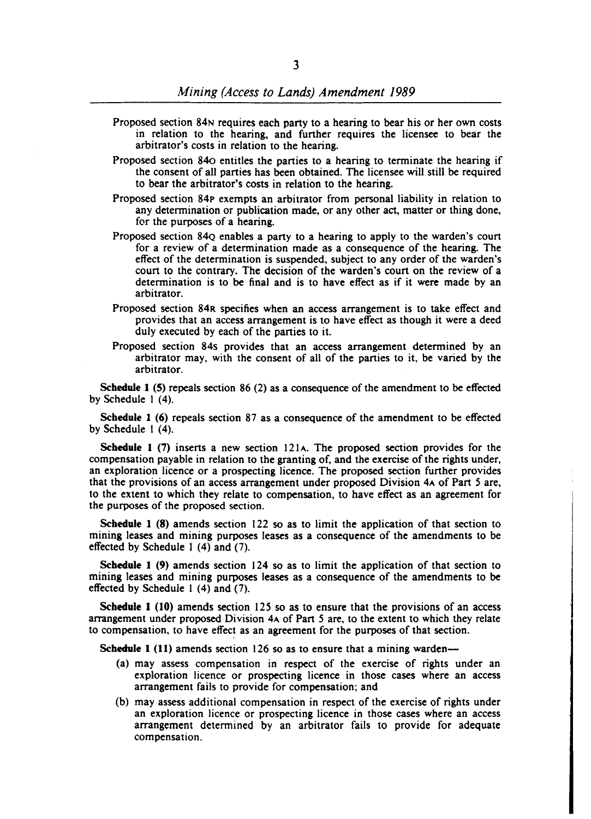- Proposed section 84N requires each party to a hearing to bear his or her own costs in relation to the hearing. and further requires the licensee to bear the arbitrator's costs in relation to the hearing.
- Proposed section 840 entitles the parties to a hearing to terminate the hearing if the consent of all parties has been obtained. The licensee will still be required to bear the arbitrator's costs in relation to the hearing.
- Proposed section 84p exempts an arbitrator from personal liability in relation to any determination or publication made, or any other act, matter or thing done, for the purposes of a hearing.
- Proposed section 84Q enables a party to a hearing to apply to the warden's court for a review of a determination made as a consequence of the hearing. The effect of the determination is suspended, subject to any order of the warden's court to the contrary. The decision of the warden's court on the review of a determination is to be final and is to have effect as if it were made by an arbitrator.
- Proposed section 84R specifies when an access arrangement is to take effect and provides that an access arrangement is to have effect as though it were a deed duly executed by each of the parties to it.
- Proposed section 84s provides that an access arrangement determined by an arbitrator may, with the consent of all of the parties to it, be varied by the arbitrator.

Schedule 1 (5) repeals section 86 (2) as a consequence of the amendment to be effected by Schedule 1 (4).

Schedule 1 (6) repeals section 87 as a consequence of the amendment to be effected by Schedule 1 (4).

Schedule 1 (7) inserts a new section  $121A$ . The proposed section provides for the compensation payable in relation to the granting of, and the exercise of the rights under, an exploration licence or a prospecting licence. The proposed section further provides that the provisions of an access arrangement under proposed Division 4A of Part 5 are, to the extent to which they relate to compensation, to have effect as an agreement for the purposes of the proposed section.

Schedule 1 (8) amends section 122 so as to limit the application of that section to mining leases and mining purposes leases as a consequence of the amendments to be effected by Schedule 1 (4) and (7).

Schedule 1 (9) amends section 124 so as to limit the application of that section to mining leases and mining purposes leases as a consequence of the amendments to be effected by Schedule I (4) and (7).

Schedule 1 (10) amends section 125 so as to ensure that the provisions of an access arrangement under proposed Division 4A of Part 5 are, to the extent to which they relate to compensation, to have effect as an agreement for the purposes of that section.

Schedule 1 (11) amends section 126 so as to ensure that a mining warden---

- (a) may assess compensation in respect of the exercise of rights under an exploration licence or prospecting licence in those cases where an access arrangement fails to provide for compensation; and
- (b) may assess additional compensation in respect of the exercise of rights under an exploration licence or prospecting licence in those cases where an access arrangement determined by an arbitrator fails to provide for adequate compensation.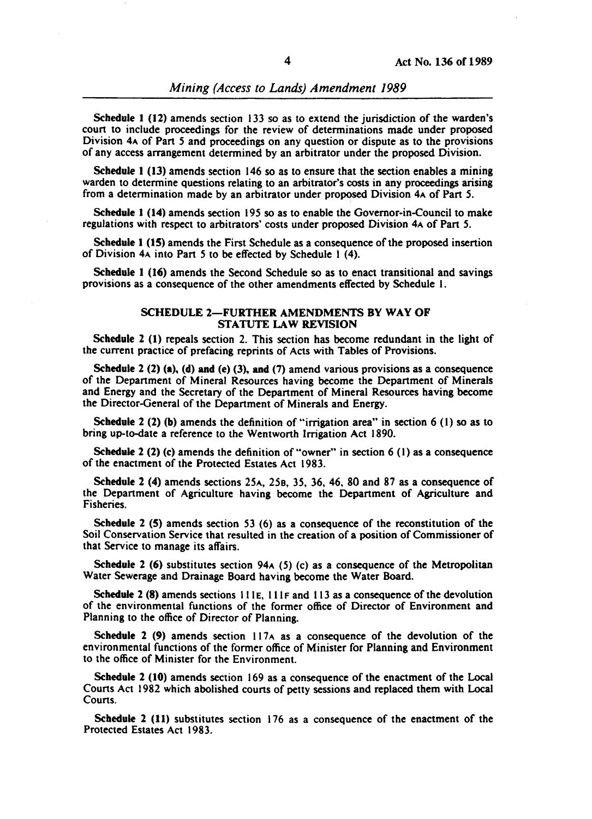*Mining (Access to Lands) Amendment 1989* 

Schedule 1 (12) amends section 133 so as to extend the jurisdiction of the warden's court to include proceedings for the review of determinations made under proposed Division 4A of Part 5 and proceedings on any question or dispute as to the provisions of any access arrangement determined by an arbitrator under the proposed Division.

Schedule 1 (13) amends section 146 so as to ensure that the section enables a mining warden to determine questions relating to an arbitrator's costs in any proceedings arising from a determination made by an arbitrator under proposed Division 4A of Part 5.

Schedule 1 (14) amends section 195 so as to enable the Governor-in-Council to make regulations with respect to arbitrators' costs under proposed Division 4A of Part 5.

Schedule 1 (IS) amends the First Schedule as a consequence of the proposed insertion of Division 4A into Part 5 to be effected by Schedule I (4).

Schedule 1 (16) amends the Second Schedule so as to enact transitional and savings provisions as a consequence of the other amendments effected by Schedule I.

### SCHEDULE 2-FURTHER AMENDMENTS BY WAY OF STATUTE LAW REVISION

Schedule 2 (1) repeals section 2. This section has become redundant in the light of the current practice of prefacing reprints of Acts with Tables of Provisions.

Schedule  $2(2)$  (a), (d) and (e) (3), and (7) amend various provisions as a consequence of the Department of Mineral Resources having become the Department of Minerals and Energy and the Secretary of the Department of Mineral Resources having become the Director-General of the Department of Minerals and Energy.

Schedule 2 (2) (b) amends the definition of "irrigation area" in section 6 (1) so as to bring up-to-date a reference to the Wentworth Irrigation Act 1890.

Schedule 2 (2) (c) amends the definition of "owner" in section 6 (1) as a consequence of the enactment of the Protected Estates Act 1983.

Schedule 2 (4) amends sections 25A, 258, 35, 36, 46. 80 and 87 as a consequence of the Department of Agriculture having become the Department of Agriculture and Fisheries.

Schedule 2 (S) amends section 53 (6) as a consequence of the reconstitution of the Soil Conservation Service that resulted in the creation of a position of Commissioner of that Service to manage its affairs.

Schedule 2 (6) substitutes section  $94A(5)$  (c) as a consequence of the Metropolitan Water Sewerage and Drainage Board having become the Water Board.

Schedule 2 (8) amends sections  $111E$ ,  $111F$  and  $113$  as a consequence of the devolution of the environmental functions of the former office of Director of Environment and Planning to the office of Director of Planning.

Schedule 2 (9) amends section  $117A$  as a consequence of the devolution of the environmental functions of the former office of Minister for Planning and Environment to the office of Minister for the Environment.

Schedule 2 (10) amends section 169 as a consequence of the enactment of the Local Courts Act 1982 which abolished courts of petty sessions and replaced them with Local Courts.

Schedule 2 (11) substitutes section 176 as a consequence of the enactment of the Protected Estates Act 1983.